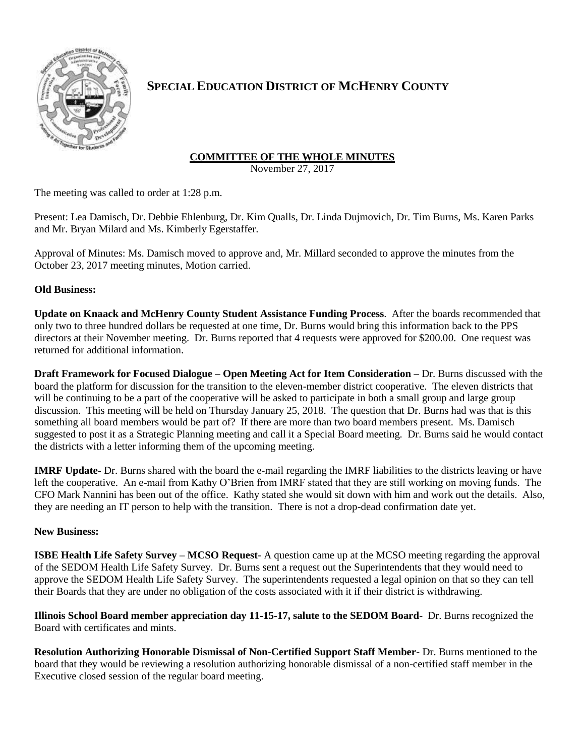

## **SPECIAL EDUCATION DISTRICT OF MCHENRY COUNTY**

## **COMMITTEE OF THE WHOLE MINUTES**

November 27, 2017

The meeting was called to order at 1:28 p.m.

Present: Lea Damisch, Dr. Debbie Ehlenburg, Dr. Kim Qualls, Dr. Linda Dujmovich, Dr. Tim Burns, Ms. Karen Parks and Mr. Bryan Milard and Ms. Kimberly Egerstaffer.

Approval of Minutes: Ms. Damisch moved to approve and, Mr. Millard seconded to approve the minutes from the October 23, 2017 meeting minutes, Motion carried.

## **Old Business:**

**Update on Knaack and McHenry County Student Assistance Funding Process**. After the boards recommended that only two to three hundred dollars be requested at one time, Dr. Burns would bring this information back to the PPS directors at their November meeting. Dr. Burns reported that 4 requests were approved for \$200.00. One request was returned for additional information.

**Draft Framework for Focused Dialogue – Open Meeting Act for Item Consideration –** Dr. Burns discussed with the board the platform for discussion for the transition to the eleven-member district cooperative. The eleven districts that will be continuing to be a part of the cooperative will be asked to participate in both a small group and large group discussion. This meeting will be held on Thursday January 25, 2018. The question that Dr. Burns had was that is this something all board members would be part of? If there are more than two board members present. Ms. Damisch suggested to post it as a Strategic Planning meeting and call it a Special Board meeting. Dr. Burns said he would contact the districts with a letter informing them of the upcoming meeting.

**IMRF Update-** Dr. Burns shared with the board the e-mail regarding the IMRF liabilities to the districts leaving or have left the cooperative. An e-mail from Kathy O'Brien from IMRF stated that they are still working on moving funds. The CFO Mark Nannini has been out of the office. Kathy stated she would sit down with him and work out the details. Also, they are needing an IT person to help with the transition. There is not a drop-dead confirmation date yet.

## **New Business:**

**ISBE Health Life Safety Survey – MCSO Request**- A question came up at the MCSO meeting regarding the approval of the SEDOM Health Life Safety Survey. Dr. Burns sent a request out the Superintendents that they would need to approve the SEDOM Health Life Safety Survey. The superintendents requested a legal opinion on that so they can tell their Boards that they are under no obligation of the costs associated with it if their district is withdrawing.

**Illinois School Board member appreciation day 11-15-17, salute to the SEDOM Board**- Dr. Burns recognized the Board with certificates and mints.

**Resolution Authorizing Honorable Dismissal of Non-Certified Support Staff Member-** Dr. Burns mentioned to the board that they would be reviewing a resolution authorizing honorable dismissal of a non-certified staff member in the Executive closed session of the regular board meeting.